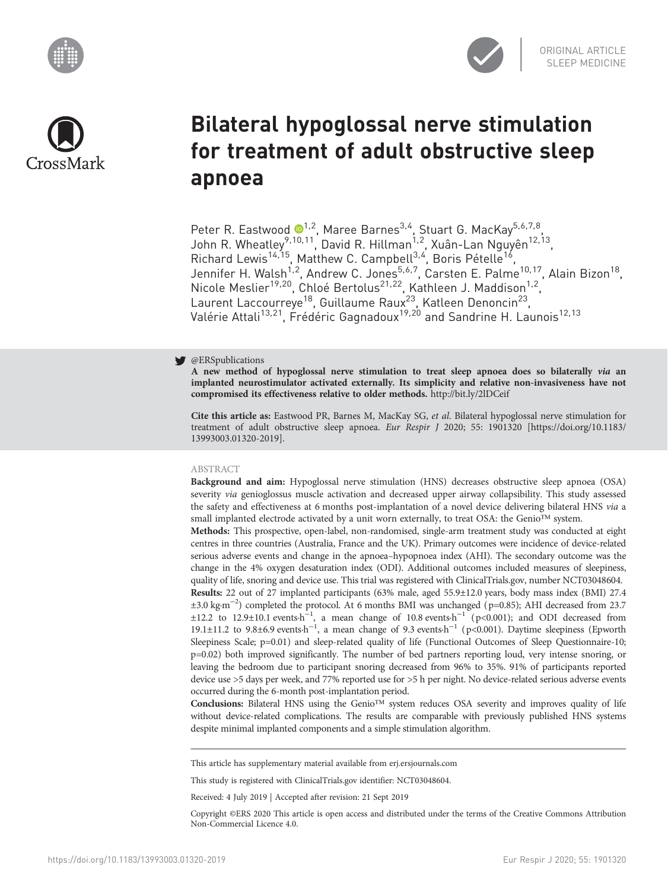





# Bilateral hypoglossal nerve stimulation for treatment of adult obstructive sleep apnoea

Peter R. Eastwood  $\mathbf{D}^{1,2}$  $\mathbf{D}^{1,2}$  $\mathbf{D}^{1,2}$ , Maree Barnes<sup>3,4</sup>, Stuart G. MacKay<sup>5,6,7,8</sup>, John R. Wheatley<sup>9,10,11</sup>, David R. Hillman<sup>1,2</sup>, Xuân-Lan Nguyên<sup>12,13</sup>, Richard Lewis<sup>14,15</sup>, Matthew C. Campbell<sup>3,4</sup>, Boris Pételle<sup>16</sup>, Jennifer H. Walsh<sup>1,2</sup>, Andrew C. Jones<sup>5,6,7</sup>, Carsten E. Palme<sup>10,17</sup>, Alain Bizon<sup>18</sup>, Nicole Meslier<sup>19,20</sup>, Chloé Bertolus<sup>21,22</sup>, Kathleen J. Maddison<sup>1,2</sup>, Laurent Laccourreye<sup>18</sup>, Guillaume Raux<sup>23</sup>, Katleen Denoncin<sup>23</sup>, Valérie Attali<sup>13,21</sup>, Frédéric Gagnadoux<sup>19,20</sup> and Sandrine H. Launois<sup>12,13</sup>

#### **@ERSpublications**

A new method of hypoglossal nerve stimulation to treat sleep apnoea does so bilaterally via an implanted neurostimulator activated externally. Its simplicity and relative non-invasiveness have not compromised its effectiveness relative to older methods. <http://bit.ly/2lDCeif>

Cite this article as: Eastwood PR, Barnes M, MacKay SG, et al. Bilateral hypoglossal nerve stimulation for treatment of adult obstructive sleep apnoea. Eur Respir J 2020; 55: 1901320 [\[https://doi.org/10.1183/](https://doi.org/10.1183/13993003.01320-2019) [13993003.01320-2019\].](https://doi.org/10.1183/13993003.01320-2019)

# ABSTRACT

Background and aim: Hypoglossal nerve stimulation (HNS) decreases obstructive sleep apnoea (OSA) severity via genioglossus muscle activation and decreased upper airway collapsibility. This study assessed the safety and effectiveness at 6 months post-implantation of a novel device delivering bilateral HNS via a small implanted electrode activated by a unit worn externally, to treat OSA: the Genio™ system.

Methods: This prospective, open-label, non-randomised, single-arm treatment study was conducted at eight centres in three countries (Australia, France and the UK). Primary outcomes were incidence of device-related serious adverse events and change in the apnoea–hypopnoea index (AHI). The secondary outcome was the change in the 4% oxygen desaturation index (ODI). Additional outcomes included measures of sleepiness, quality of life, snoring and device use. This trial was registered with ClinicalTrials.gov, number NCT03048604.

Results: 22 out of 27 implanted participants (63% male, aged 55.9±12.0 years, body mass index (BMI) 27.4 ±3.0 kg·m−<sup>2</sup> ) completed the protocol. At 6 months BMI was unchanged (p=0.85); AHI decreased from 23.7 ±12.2 to 12.9±10.1 events·h−<sup>1</sup> , a mean change of 10.8 events·h−<sup>1</sup> (p<0.001); and ODI decreased from 19.1±11.2 to 9.8±6.9 events·h<sup>-1</sup>, a mean change of 9.3 events·h<sup>-1</sup> (p<0.001). Daytime sleepiness (Epworth Sleepiness Scale; p=0.01) and sleep-related quality of life (Functional Outcomes of Sleep Questionnaire-10; p=0.02) both improved significantly. The number of bed partners reporting loud, very intense snoring, or leaving the bedroom due to participant snoring decreased from 96% to 35%. 91% of participants reported device use >5 days per week, and 77% reported use for >5 h per night. No device-related serious adverse events occurred during the 6-month post-implantation period.

Conclusions: Bilateral HNS using the Genio™ system reduces OSA severity and improves quality of life without device-related complications. The results are comparable with previously published HNS systems despite minimal implanted components and a simple stimulation algorithm.

This article has supplementary material available from<erj.ersjournals.com>

This study is registered with ClinicalTrials.gov identifier: NCT03048604.

Received: 4 July 2019 | Accepted after revision: 21 Sept 2019

Copyright ©ERS 2020 This article is open access and distributed under the terms of the Creative Commons Attribution Non-Commercial Licence 4.0.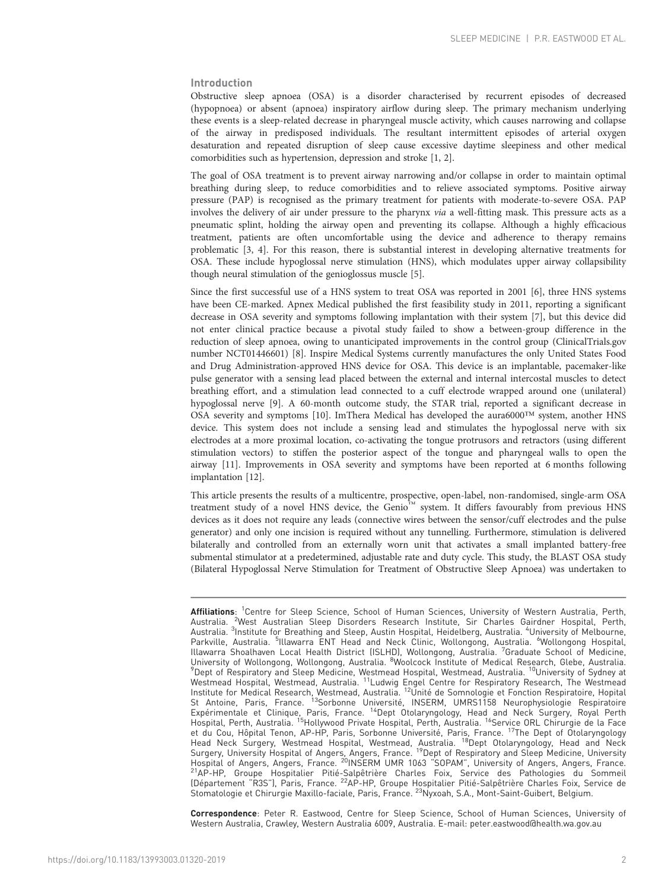# Introduction

Obstructive sleep apnoea (OSA) is a disorder characterised by recurrent episodes of decreased (hypopnoea) or absent (apnoea) inspiratory airflow during sleep. The primary mechanism underlying these events is a sleep-related decrease in pharyngeal muscle activity, which causes narrowing and collapse of the airway in predisposed individuals. The resultant intermittent episodes of arterial oxygen desaturation and repeated disruption of sleep cause excessive daytime sleepiness and other medical comorbidities such as hypertension, depression and stroke [[1](#page-9-0), [2](#page-9-0)].

The goal of OSA treatment is to prevent airway narrowing and/or collapse in order to maintain optimal breathing during sleep, to reduce comorbidities and to relieve associated symptoms. Positive airway pressure (PAP) is recognised as the primary treatment for patients with moderate-to-severe OSA. PAP involves the delivery of air under pressure to the pharynx via a well-fitting mask. This pressure acts as a pneumatic splint, holding the airway open and preventing its collapse. Although a highly efficacious treatment, patients are often uncomfortable using the device and adherence to therapy remains problematic [[3](#page-9-0), [4](#page-9-0)]. For this reason, there is substantial interest in developing alternative treatments for OSA. These include hypoglossal nerve stimulation (HNS), which modulates upper airway collapsibility though neural stimulation of the genioglossus muscle [\[5](#page-9-0)].

Since the first successful use of a HNS system to treat OSA was reported in 2001 [\[6\]](#page-9-0), three HNS systems have been CE-marked. Apnex Medical published the first feasibility study in 2011, reporting a significant decrease in OSA severity and symptoms following implantation with their system [[7](#page-9-0)], but this device did not enter clinical practice because a pivotal study failed to show a between-group difference in the reduction of sleep apnoea, owing to unanticipated improvements in the control group (<ClinicalTrials.gov> number NCT01446601) [[8\]](#page-9-0). Inspire Medical Systems currently manufactures the only United States Food and Drug Administration-approved HNS device for OSA. This device is an implantable, pacemaker-like pulse generator with a sensing lead placed between the external and internal intercostal muscles to detect breathing effort, and a stimulation lead connected to a cuff electrode wrapped around one (unilateral) hypoglossal nerve [\[9\]](#page-9-0). A 60-month outcome study, the STAR trial, reported a significant decrease in OSA severity and symptoms [\[10](#page-9-0)]. ImThera Medical has developed the aura6000™ system, another HNS device. This system does not include a sensing lead and stimulates the hypoglossal nerve with six electrodes at a more proximal location, co-activating the tongue protrusors and retractors (using different stimulation vectors) to stiffen the posterior aspect of the tongue and pharyngeal walls to open the airway [[11\]](#page-9-0). Improvements in OSA severity and symptoms have been reported at 6 months following implantation [\[12\]](#page-9-0).

This article presents the results of a multicentre, prospective, open-label, non-randomised, single-arm OSA treatment study of a novel HNS device, the Genio™ system. It differs favourably from previous HNS devices as it does not require any leads (connective wires between the sensor/cuff electrodes and the pulse generator) and only one incision is required without any tunnelling. Furthermore, stimulation is delivered bilaterally and controlled from an externally worn unit that activates a small implanted battery-free submental stimulator at a predetermined, adjustable rate and duty cycle. This study, the BLAST OSA study (Bilateral Hypoglossal Nerve Stimulation for Treatment of Obstructive Sleep Apnoea) was undertaken to

Correspondence: Peter R. Eastwood, Centre for Sleep Science, School of Human Sciences, University of Western Australia, Crawley, Western Australia 6009, Australia. E-mail: [peter.eastwood@health.wa.gov.au](mailto:peter.eastwood@health.wa.gov.au)

**Affiliations**: <sup>1</sup>Centre for Sleep Science, School of Human Sciences, University of Western Australia, Perth,<br>Australia. <sup>2</sup>West Australian Sleep Disorders Research Institute, Sir Charles Gairdner Hospital, Perth, Australia. <sup>3</sup>Institute for Breathing and Sleep, Austin Hospital, Heidelberg, Australia. <sup>4</sup>University of Melbourne, Parkville, Australia. <sup>5</sup>Illawarra ENT Head and Neck Clinic, Wollongong, Australia. <sup>6</sup>Wollongong Hospital, Illawarra Shoalhaven Local Health District (ISLHD), Wollongong, Australia. <sup>7</sup> Graduate School of Medicine, University of Wollongong, Wollongong, Australia. <sup>8</sup>Woolcock Institute of Medical Research, Glebe, Australia. University of Wollongong, Wollongong, Australia. <sup>8</sup>Woolcock Institute of Medical Research, Glebe, Australia.<br><sup>9</sup>Dept of Respiratory and Sleep Medicine, Westmead Hospital, Westmead, Australia. <sup>10</sup>University of Sydney at Westmead Hospital, Westmead, Australia. 11Ludwig Engel Centre for Respiratory Research, The Westmead Institute for Medical Research, Westmead, Australia. <sup>12</sup>Unité de Somnologie et Fonction Respiratoire, Hopital St Antoine, Paris, France. <sup>13</sup>Sorbonne Université, INSERM, UMRS1158 Neurophysiologie Respiratoire Expérimentale et Clinique, Paris, France. <sup>14</sup>Dept Otolaryngology, Head and Neck Surgery, Royal Perth Hospital, Perth, Australia. <sup>15</sup>Hollywood Private Hospital, Perth, Australia. <sup>16</sup>Service ORL Chirurgie de la Face et du Cou, Hôpital Tenon, AP-HP, Paris, Sorbonne Université, Paris, France. 17The Dept of Otolaryngology Head Neck Surgery, Westmead Hospital, Westmead, Australia. <sup>18</sup>Dept Otolaryngology, Head and Neck Surgery, University Hospital of Angers, Angers, France. 19Dept of Respiratory and Sleep Medicine, University Hospital of Angers, Angers, France. <sup>20</sup>INSERM UMR 1063 "SOPAM", University of Angers, Angers, France.<br><sup>21</sup>AP-HP, Groupe Hospitalier Pitié-Salpêtrière Charles Foix, Service des Pathologies du Sommeil (Département "R3S"), Paris, France. 22AP-HP, Groupe Hospitalier Pitié-Salpêtrière Charles Foix, Service de Stomatologie et Chirurgie Maxillo-faciale, Paris, France. <sup>23</sup>Nyxoah, S.A., Mont-Saint-Guibert, Belgium.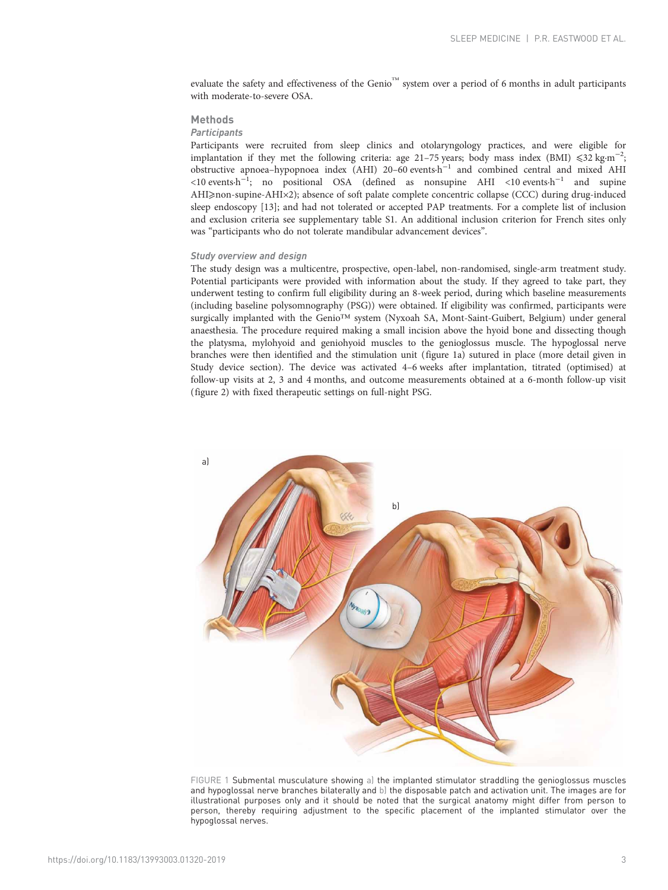<span id="page-2-0"></span>evaluate the safety and effectiveness of the Genio™ system over a period of 6 months in adult participants with moderate-to-severe OSA.

# Methods

#### **Participants**

Participants were recruited from sleep clinics and otolaryngology practices, and were eligible for implantation if they met the following criteria: age 21-75 years; body mass index (BMI) ≤32 kg·m<sup>-2</sup>; obstructive apnoea–hypopnoea index (AHI) 20–60 events·h−<sup>1</sup> and combined central and mixed AHI <10 events·h−<sup>1</sup> ; no positional OSA (defined as nonsupine AHI <10 events·h−<sup>1</sup> and supine AHI≥non-supine-AHI×2); absence of soft palate complete concentric collapse (CCC) during drug-induced sleep endoscopy [[13](#page-9-0)]; and had not tolerated or accepted PAP treatments. For a complete list of inclusion and exclusion criteria see [supplementary table S1](http://erj.ersjournals.com/lookup/doi/10.1183/13993003.01320-2019.figures-only#fig-data-supplementary-materials). An additional inclusion criterion for French sites only was "participants who do not tolerate mandibular advancement devices".

#### Study overview and design

The study design was a multicentre, prospective, open-label, non-randomised, single-arm treatment study. Potential participants were provided with information about the study. If they agreed to take part, they underwent testing to confirm full eligibility during an 8-week period, during which baseline measurements (including baseline polysomnography (PSG)) were obtained. If eligibility was confirmed, participants were surgically implanted with the Genio™ system (Nyxoah SA, Mont-Saint-Guibert, Belgium) under general anaesthesia. The procedure required making a small incision above the hyoid bone and dissecting though the platysma, mylohyoid and geniohyoid muscles to the genioglossus muscle. The hypoglossal nerve branches were then identified and the stimulation unit (figure 1a) sutured in place (more detail given in Study device section). The device was activated 4–6 weeks after implantation, titrated (optimised) at follow-up visits at 2, 3 and 4 months, and outcome measurements obtained at a 6-month follow-up visit [\(figure 2](#page-3-0)) with fixed therapeutic settings on full-night PSG.



FIGURE 1 Submental musculature showing a) the implanted stimulator straddling the genioglossus muscles and hypoglossal nerve branches bilaterally and b) the disposable patch and activation unit. The images are for illustrational purposes only and it should be noted that the surgical anatomy might differ from person to person, thereby requiring adjustment to the specific placement of the implanted stimulator over the hypoglossal nerves.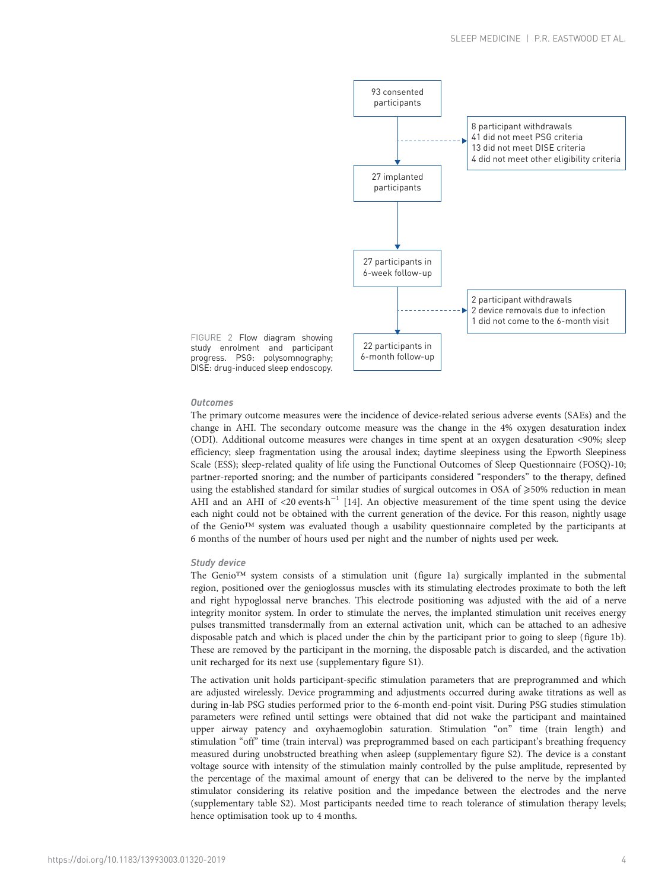<span id="page-3-0"></span>

FIGURE 2 Flow diagram showing study enrolment and participant progress. PSG: polysomnography; DISE: drug-induced sleep endoscopy.

#### **Outcomes**

The primary outcome measures were the incidence of device-related serious adverse events (SAEs) and the change in AHI. The secondary outcome measure was the change in the 4% oxygen desaturation index (ODI). Additional outcome measures were changes in time spent at an oxygen desaturation <90%; sleep efficiency; sleep fragmentation using the arousal index; daytime sleepiness using the Epworth Sleepiness Scale (ESS); sleep-related quality of life using the Functional Outcomes of Sleep Questionnaire (FOSQ)-10; partner-reported snoring; and the number of participants considered "responders" to the therapy, defined using the established standard for similar studies of surgical outcomes in OSA of ≥50% reduction in mean AHI and an AHI of <20 events $h^{-1}$  [[14](#page-10-0)]. An objective measurement of the time spent using the device each night could not be obtained with the current generation of the device. For this reason, nightly usage of the Genio™ system was evaluated though a usability questionnaire completed by the participants at 6 months of the number of hours used per night and the number of nights used per week.

# Study device

The Genio™ system consists of a stimulation unit [\(figure 1a](#page-2-0)) surgically implanted in the submental region, positioned over the genioglossus muscles with its stimulating electrodes proximate to both the left and right hypoglossal nerve branches. This electrode positioning was adjusted with the aid of a nerve integrity monitor system. In order to stimulate the nerves, the implanted stimulation unit receives energy pulses transmitted transdermally from an external activation unit, which can be attached to an adhesive disposable patch and which is placed under the chin by the participant prior to going to sleep [\(figure 1b](#page-2-0)). These are removed by the participant in the morning, the disposable patch is discarded, and the activation unit recharged for its next use ([supplementary figure S1\)](http://erj.ersjournals.com/lookup/doi/10.1183/13993003.01320-2019.figures-only#fig-data-supplementary-materials).

The activation unit holds participant-specific stimulation parameters that are preprogrammed and which are adjusted wirelessly. Device programming and adjustments occurred during awake titrations as well as during in-lab PSG studies performed prior to the 6-month end-point visit. During PSG studies stimulation parameters were refined until settings were obtained that did not wake the participant and maintained upper airway patency and oxyhaemoglobin saturation. Stimulation "on" time (train length) and stimulation "off" time (train interval) was preprogrammed based on each participant's breathing frequency measured during unobstructed breathing when asleep ([supplementary figure S2](http://erj.ersjournals.com/lookup/doi/10.1183/13993003.01320-2019.figures-only#fig-data-supplementary-materials)). The device is a constant voltage source with intensity of the stimulation mainly controlled by the pulse amplitude, represented by the percentage of the maximal amount of energy that can be delivered to the nerve by the implanted stimulator considering its relative position and the impedance between the electrodes and the nerve [\(supplementary table S2\)](http://erj.ersjournals.com/lookup/doi/10.1183/13993003.01320-2019.figures-only#fig-data-supplementary-materials). Most participants needed time to reach tolerance of stimulation therapy levels; hence optimisation took up to 4 months.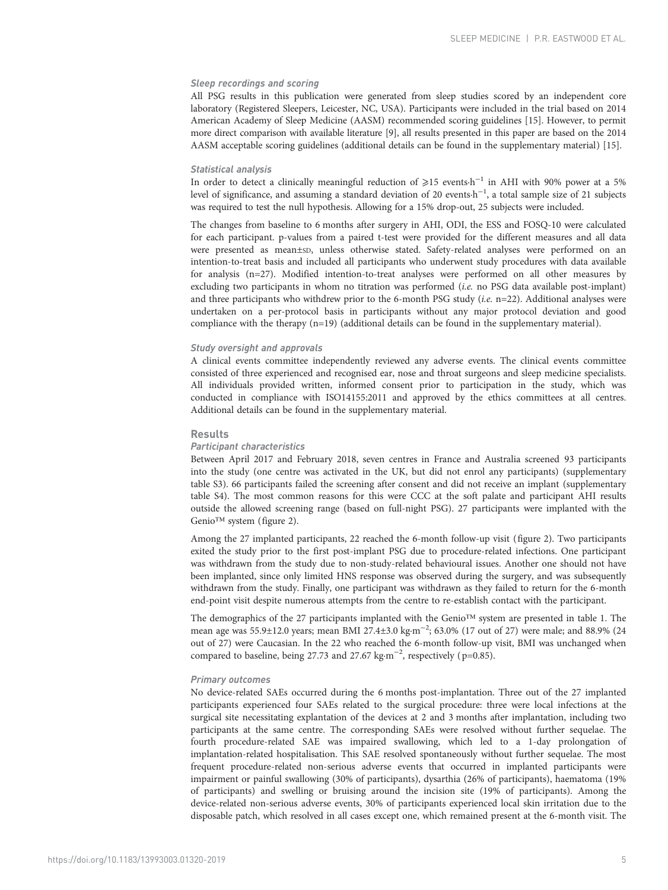# Sleep recordings and scoring

All PSG results in this publication were generated from sleep studies scored by an independent core laboratory (Registered Sleepers, Leicester, NC, USA). Participants were included in the trial based on 2014 American Academy of Sleep Medicine (AASM) recommended scoring guidelines [\[15\]](#page-10-0). However, to permit more direct comparison with available literature [[9\]](#page-9-0), all results presented in this paper are based on the 2014 AASM acceptable scoring guidelines (additional details can be found [in the supplementary material](http://erj.ersjournals.com/lookup/doi/10.1183/13993003.01320-2019.figures-only#fig-data-supplementary-materials)) [[15\]](#page-10-0).

#### Statistical analysis

In order to detect a clinically meaningful reduction of ⩾15 events·h−<sup>1</sup> in AHI with 90% power at a 5% level of significance, and assuming a standard deviation of 20 events·h<sup>-1</sup>, a total sample size of 21 subjects was required to test the null hypothesis. Allowing for a 15% drop-out, 25 subjects were included.

The changes from baseline to 6 months after surgery in AHI, ODI, the ESS and FOSQ-10 were calculated for each participant. p-values from a paired t-test were provided for the different measures and all data were presented as mean±SD, unless otherwise stated. Safety-related analyses were performed on an intention-to-treat basis and included all participants who underwent study procedures with data available for analysis (n=27). Modified intention-to-treat analyses were performed on all other measures by excluding two participants in whom no titration was performed (*i.e.* no PSG data available post-implant) and three participants who withdrew prior to the 6-month PSG study (*i.e.*  $n=22$ ). Additional analyses were undertaken on a per-protocol basis in participants without any major protocol deviation and good compliance with the therapy  $(n=19)$  (additional details can be found [in the supplementary material](http://erj.ersjournals.com/lookup/doi/10.1183/13993003.01320-2019.figures-only#fig-data-supplementary-materials)).

#### Study oversight and approvals

A clinical events committee independently reviewed any adverse events. The clinical events committee consisted of three experienced and recognised ear, nose and throat surgeons and sleep medicine specialists. All individuals provided written, informed consent prior to participation in the study, which was conducted in compliance with ISO14155:2011 and approved by the ethics committees at all centres. Additional details can be found [in the supplementary material](http://erj.ersjournals.com/lookup/doi/10.1183/13993003.01320-2019.figures-only#fig-data-supplementary-materials).

# Results

## Participant characteristics

Between April 2017 and February 2018, seven centres in France and Australia screened 93 participants into the study (one centre was activated in the UK, but did not enrol any participants) [\(supplementary](http://erj.ersjournals.com/lookup/doi/10.1183/13993003.01320-2019.figures-only#fig-data-supplementary-materials) [table S3\)](http://erj.ersjournals.com/lookup/doi/10.1183/13993003.01320-2019.figures-only#fig-data-supplementary-materials). 66 participants failed the screening after consent and did not receive an implant [\(supplementary](http://erj.ersjournals.com/lookup/doi/10.1183/13993003.01320-2019.figures-only#fig-data-supplementary-materials) [table S4\)](http://erj.ersjournals.com/lookup/doi/10.1183/13993003.01320-2019.figures-only#fig-data-supplementary-materials). The most common reasons for this were CCC at the soft palate and participant AHI results outside the allowed screening range (based on full-night PSG). 27 participants were implanted with the Genio™ system [\(figure 2](#page-3-0)).

Among the 27 implanted participants, 22 reached the 6-month follow-up visit ([figure 2](#page-3-0)). Two participants exited the study prior to the first post-implant PSG due to procedure-related infections. One participant was withdrawn from the study due to non-study-related behavioural issues. Another one should not have been implanted, since only limited HNS response was observed during the surgery, and was subsequently withdrawn from the study. Finally, one participant was withdrawn as they failed to return for the 6-month end-point visit despite numerous attempts from the centre to re-establish contact with the participant.

The demographics of the 27 participants implanted with the Genio™ system are presented in [table 1](#page-5-0). The mean age was 55.9±12.0 years; mean BMI 27.4±3.0 kg·m<sup>-2</sup>; 63.0% (17 out of 27) were male; and 88.9% (24 out of 27) were Caucasian. In the 22 who reached the 6-month follow-up visit, BMI was unchanged when compared to baseline, being 27.73 and 27.67 kg⋅m<sup>-2</sup>, respectively (p=0.85).

# Primary outcomes

No device-related SAEs occurred during the 6 months post-implantation. Three out of the 27 implanted participants experienced four SAEs related to the surgical procedure: three were local infections at the surgical site necessitating explantation of the devices at 2 and 3 months after implantation, including two participants at the same centre. The corresponding SAEs were resolved without further sequelae. The fourth procedure-related SAE was impaired swallowing, which led to a 1-day prolongation of implantation-related hospitalisation. This SAE resolved spontaneously without further sequelae. The most frequent procedure-related non-serious adverse events that occurred in implanted participants were impairment or painful swallowing (30% of participants), dysarthia (26% of participants), haematoma (19% of participants) and swelling or bruising around the incision site (19% of participants). Among the device-related non-serious adverse events, 30% of participants experienced local skin irritation due to the disposable patch, which resolved in all cases except one, which remained present at the 6-month visit. The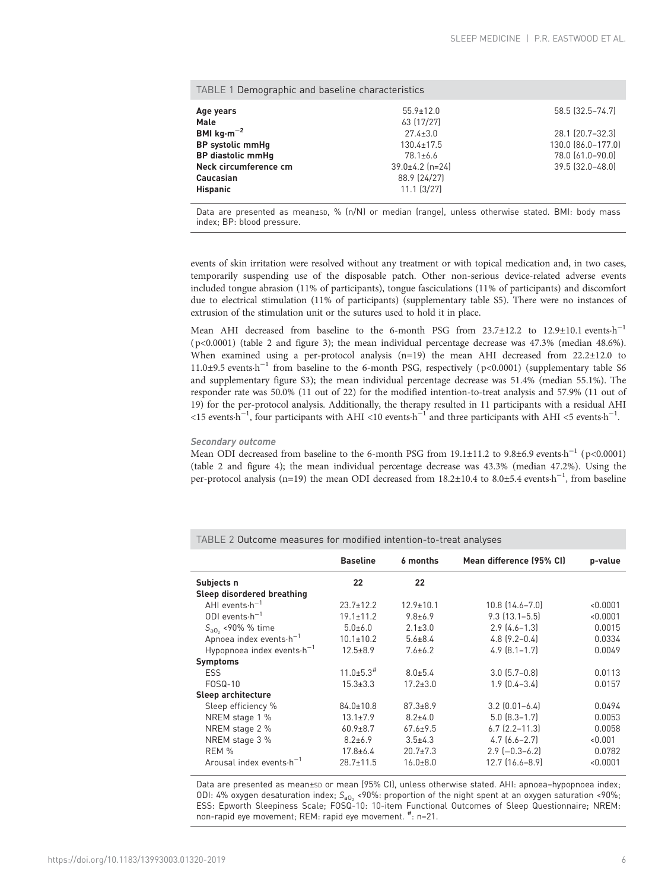<span id="page-5-0"></span>

| TABLE 1 Demographic and baseline characteristics |                    |
|--------------------------------------------------|--------------------|
| $55.9 \pm 12.0$<br>63 (17/27)                    | 58.5 (32.5 - 74.7) |
| $27.4 \pm 3.0$                                   | 28.1 (20.7-32.3)   |
| $130.4 \pm 17.5$                                 | 130.0 (86.0-177.0) |
| $78.1 \pm 6.6$                                   | 78.0 (61.0-90.0)   |
| $39.0 \pm 4.2$ [n=24]                            | 39.5 (32.0-48.0)   |
| 88.9 (24/27)                                     |                    |
| $11.1$ $(3/27)$                                  |                    |
|                                                  |                    |

Data are presented as mean±sp, %  $(n/N)$  or median (range), unless otherwise stated. BMI: body mass index; BP: blood pressure.

events of skin irritation were resolved without any treatment or with topical medication and, in two cases, temporarily suspending use of the disposable patch. Other non-serious device-related adverse events included tongue abrasion (11% of participants), tongue fasciculations (11% of participants) and discomfort due to electrical stimulation (11% of participants) ([supplementary table S5\)](http://erj.ersjournals.com/lookup/doi/10.1183/13993003.01320-2019.figures-only#fig-data-supplementary-materials). There were no instances of extrusion of the stimulation unit or the sutures used to hold it in place.

Mean AHI decreased from baseline to the 6-month PSG from 23.7±12.2 to 12.9±10.1 events·h−<sup>1</sup> ( p<0.0001) (table 2 and [figure 3](#page-6-0)); the mean individual percentage decrease was 47.3% (median 48.6%). When examined using a per-protocol analysis  $(n=19)$  the mean AHI decreased from 22.2 $\pm$ 12.0 to 11.0±9.5 events·h−<sup>1</sup> from baseline to the 6-month PSG, respectively ( p<0.0001) ([supplementary table S6](http://erj.ersjournals.com/lookup/doi/10.1183/13993003.01320-2019.figures-only#fig-data-supplementary-materials) [and supplementary figure S3\)](http://erj.ersjournals.com/lookup/doi/10.1183/13993003.01320-2019.figures-only#fig-data-supplementary-materials); the mean individual percentage decrease was 51.4% (median 55.1%). The responder rate was 50.0% (11 out of 22) for the modified intention-to-treat analysis and 57.9% (11 out of 19) for the per-protocol analysis. Additionally, the therapy resulted in 11 participants with a residual AHI <15 events·h−<sup>1</sup> , four participants with AHI <10 events·h−<sup>1</sup> and three participants with AHI <5 events·h−<sup>1</sup> .

#### Secondary outcome

Mean ODI decreased from baseline to the 6-month PSG from 19.1±11.2 to 9.8±6.9 events⋅h<sup>-1</sup> (p<0.0001) (table 2 and [figure 4](#page-6-0)); the mean individual percentage decrease was 43.3% (median 47.2%). Using the per-protocol analysis (n=19) the mean ODI decreased from 18.2±10.4 to 8.0±5.4 events·h<sup>-1</sup>, from baseline

TABLE 2 Outcome measures for modified intention-to-treat analyses

# Baseline 6 months Mean difference (95% CI) p-value Subjects n 22 22 Sleep disordered breathing AHI events·h<sup>-1</sup> 23.7±12.2 12.9±10.1 10.8 (14.6-7.0) <0.0001 ODI events-h<sup>-1</sup> 19.1±11.2 9.8±6.9 9.3 (13.1–5.5) <0.0001<br>  $S_{a0}$  <90% % time 5.0±6.0 2.1±3.0 2.9 (4.6–1.3) 0.0015  $S_{a0_2}$  <90% % time  $5.0\pm6.0$  2.1 $\pm3.0$  2.9 (4.6–1.3) 0.0015<br>Apnoea index events h<sup>-1</sup> 10.1 $\pm10.2$  5.6 $\pm8.4$  4.8 (9.2–0.4) 0.0334 Apnoea index events·h<sup>-1</sup> Hypopnoea index events·h−<sup>1</sup> 12.5±8.9 7.6±6.2 4.9 (8.1–1.7) 0.0049 Symptoms ESS 11.0±5.3# 8.0±5.4 3.0 (5.7–0.8) 0.0113 FOSQ-10 15.3±3.3 17.2±3.0 1.9 (0.4–3.4) 0.0157 Sleep architecture Sleep efficiency % 84.0±10.8 87.3±8.9 3.2 (0.01–6.4) 0.0494 NREM stage 1 % 13.1±7.9 8.2±4.0 5.0 (8.3–1.7) 0.0053 NREM stage 2 % 60.9±8.7 67.6±9.5 6.7 (2.2–11.3) 0.0058 NREM stage 3 % 8.2±6.9 3.5±4.3 4.7 (6.6–2.7) <0.001 REM % 17.8±6.4 20.7±7.3 2.9 (−0.3–6.2) 0.0782 Arousal index events·h−<sup>1</sup> 28.7±11.5 16.0±8.0 12.7 (16.6–8.9) <0.0001

Data are presented as mean±sp or mean (95% CI), unless otherwise stated. AHI: apnoea-hypopnoea index; ODI: 4% oxygen desaturation index;  $S_{a0}$ , <90%: proportion of the night spent at an oxygen saturation <90%; ESS: Epworth Sleepiness Scale; FOSQ-10: 10-item Functional Outcomes of Sleep Questionnaire; NREM: non-rapid eye movement; REM: rapid eye movement. #: n=21.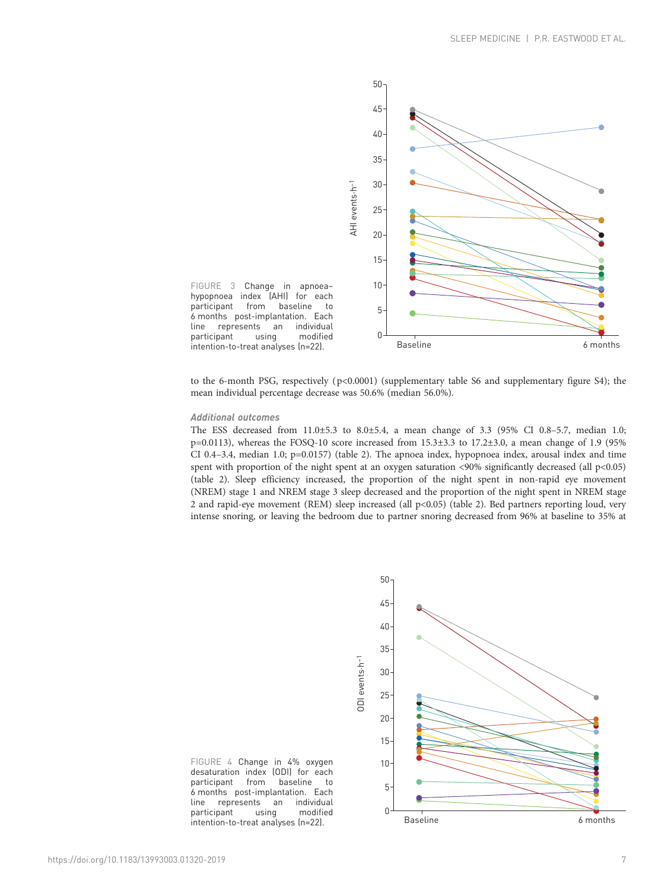<span id="page-6-0"></span>

to the 6-month PSG, respectively ( p<0.0001) [\(supplementary table S6 and supplementary figure S4\)](http://erj.ersjournals.com/lookup/doi/10.1183/13993003.01320-2019.figures-only#fig-data-supplementary-materials); the mean individual percentage decrease was 50.6% (median 56.0%).

# Additional outcomes

participant using

The ESS decreased from 11.0±5.3 to 8.0±5.4, a mean change of 3.3 (95% CI 0.8–5.7, median 1.0;  $p=0.0113$ ), whereas the FOSQ-10 score increased from 15.3 $\pm$ 3.3 to 17.2 $\pm$ 3.0, a mean change of 1.9 (95%) CI 0.4–3.4, median 1.0; p=0.0157) ([table 2](#page-5-0)). The apnoea index, hypopnoea index, arousal index and time spent with proportion of the night spent at an oxygen saturation <90% significantly decreased (all p<0.05) [\(table 2\)](#page-5-0). Sleep efficiency increased, the proportion of the night spent in non-rapid eye movement (NREM) stage 1 and NREM stage 3 sleep decreased and the proportion of the night spent in NREM stage 2 and rapid-eye movement (REM) sleep increased (all p<0.05) [\(table 2\)](#page-5-0). Bed partners reporting loud, very intense snoring, or leaving the bedroom due to partner snoring decreased from 96% at baseline to 35% at



desaturation index (ODI) for each<br>participant from baseline to participant from 6 months post-implantation. Each line represents an individual<br>participant using modified participant intention-to-treat analyses (n=22).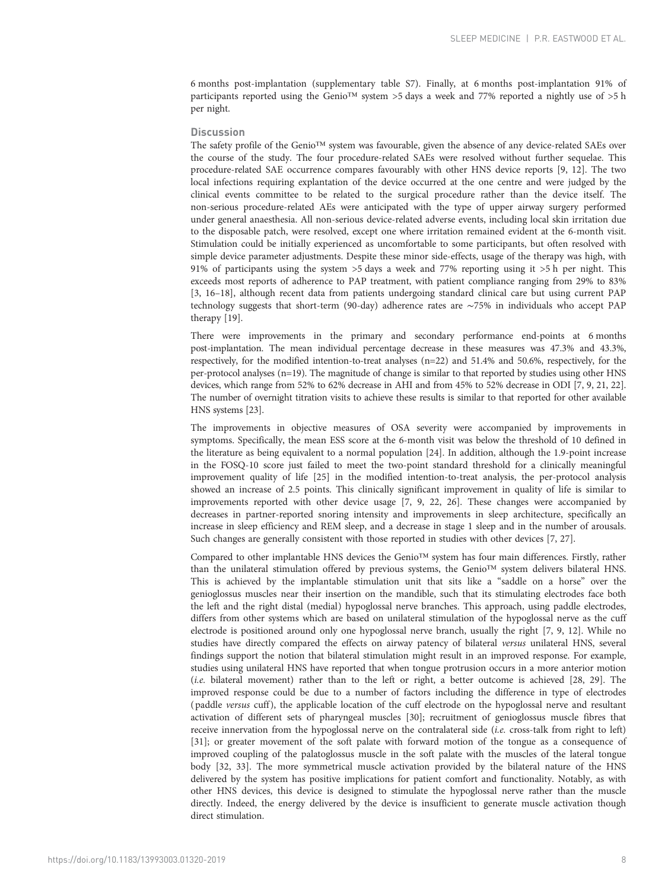6 months post-implantation [\(supplementary table S7](http://erj.ersjournals.com/lookup/doi/10.1183/13993003.01320-2019.figures-only#fig-data-supplementary-materials)). Finally, at 6 months post-implantation 91% of participants reported using the Genio™ system >5 days a week and 77% reported a nightly use of >5 h per night.

# **Discussion**

The safety profile of the Genio™ system was favourable, given the absence of any device-related SAEs over the course of the study. The four procedure-related SAEs were resolved without further sequelae. This procedure-related SAE occurrence compares favourably with other HNS device reports [[9](#page-9-0), [12\]](#page-9-0). The two local infections requiring explantation of the device occurred at the one centre and were judged by the clinical events committee to be related to the surgical procedure rather than the device itself. The non-serious procedure-related AEs were anticipated with the type of upper airway surgery performed under general anaesthesia. All non-serious device-related adverse events, including local skin irritation due to the disposable patch, were resolved, except one where irritation remained evident at the 6-month visit. Stimulation could be initially experienced as uncomfortable to some participants, but often resolved with simple device parameter adjustments. Despite these minor side-effects, usage of the therapy was high, with 91% of participants using the system >5 days a week and 77% reporting using it >5 h per night. This exceeds most reports of adherence to PAP treatment, with patient compliance ranging from 29% to 83% [\[3,](#page-9-0) [16](#page-10-0)–[18](#page-10-0)], although recent data from patients undergoing standard clinical care but using current PAP technology suggests that short-term (90-day) adherence rates are ∼75% in individuals who accept PAP therapy [[19\]](#page-10-0).

There were improvements in the primary and secondary performance end-points at 6 months post-implantation. The mean individual percentage decrease in these measures was 47.3% and 43.3%, respectively, for the modified intention-to-treat analyses (n=22) and 51.4% and 50.6%, respectively, for the per-protocol analyses (n=19). The magnitude of change is similar to that reported by studies using other HNS devices, which range from 52% to 62% decrease in AHI and from 45% to 52% decrease in ODI [[7, 9,](#page-9-0) [21](#page-10-0), [22](#page-10-0)]. The number of overnight titration visits to achieve these results is similar to that reported for other available HNS systems [\[23](#page-10-0)].

The improvements in objective measures of OSA severity were accompanied by improvements in symptoms. Specifically, the mean ESS score at the 6-month visit was below the threshold of 10 defined in the literature as being equivalent to a normal population [[24](#page-10-0)]. In addition, although the 1.9-point increase in the FOSQ-10 score just failed to meet the two-point standard threshold for a clinically meaningful improvement quality of life [\[25](#page-10-0)] in the modified intention-to-treat analysis, the per-protocol analysis showed an increase of 2.5 points. This clinically significant improvement in quality of life is similar to improvements reported with other device usage [\[7](#page-9-0), [9](#page-9-0), [22, 26](#page-10-0)]. These changes were accompanied by decreases in partner-reported snoring intensity and improvements in sleep architecture, specifically an increase in sleep efficiency and REM sleep, and a decrease in stage 1 sleep and in the number of arousals. Such changes are generally consistent with those reported in studies with other devices [[7,](#page-9-0) [27](#page-10-0)].

Compared to other implantable HNS devices the Genio™ system has four main differences. Firstly, rather than the unilateral stimulation offered by previous systems, the Genio™ system delivers bilateral HNS. This is achieved by the implantable stimulation unit that sits like a "saddle on a horse" over the genioglossus muscles near their insertion on the mandible, such that its stimulating electrodes face both the left and the right distal (medial) hypoglossal nerve branches. This approach, using paddle electrodes, differs from other systems which are based on unilateral stimulation of the hypoglossal nerve as the cuff electrode is positioned around only one hypoglossal nerve branch, usually the right [\[7](#page-9-0), [9](#page-9-0), [12](#page-9-0)]. While no studies have directly compared the effects on airway patency of bilateral versus unilateral HNS, several findings support the notion that bilateral stimulation might result in an improved response. For example, studies using unilateral HNS have reported that when tongue protrusion occurs in a more anterior motion (i.e. bilateral movement) rather than to the left or right, a better outcome is achieved [[28, 29\]](#page-10-0). The improved response could be due to a number of factors including the difference in type of electrodes (paddle versus cuff), the applicable location of the cuff electrode on the hypoglossal nerve and resultant activation of different sets of pharyngeal muscles [\[30\]](#page-10-0); recruitment of genioglossus muscle fibres that receive innervation from the hypoglossal nerve on the contralateral side (i.e. cross-talk from right to left) [\[31\]](#page-10-0); or greater movement of the soft palate with forward motion of the tongue as a consequence of improved coupling of the palatoglossus muscle in the soft palate with the muscles of the lateral tongue body [\[32](#page-10-0), [33](#page-10-0)]. The more symmetrical muscle activation provided by the bilateral nature of the HNS delivered by the system has positive implications for patient comfort and functionality. Notably, as with other HNS devices, this device is designed to stimulate the hypoglossal nerve rather than the muscle directly. Indeed, the energy delivered by the device is insufficient to generate muscle activation though direct stimulation.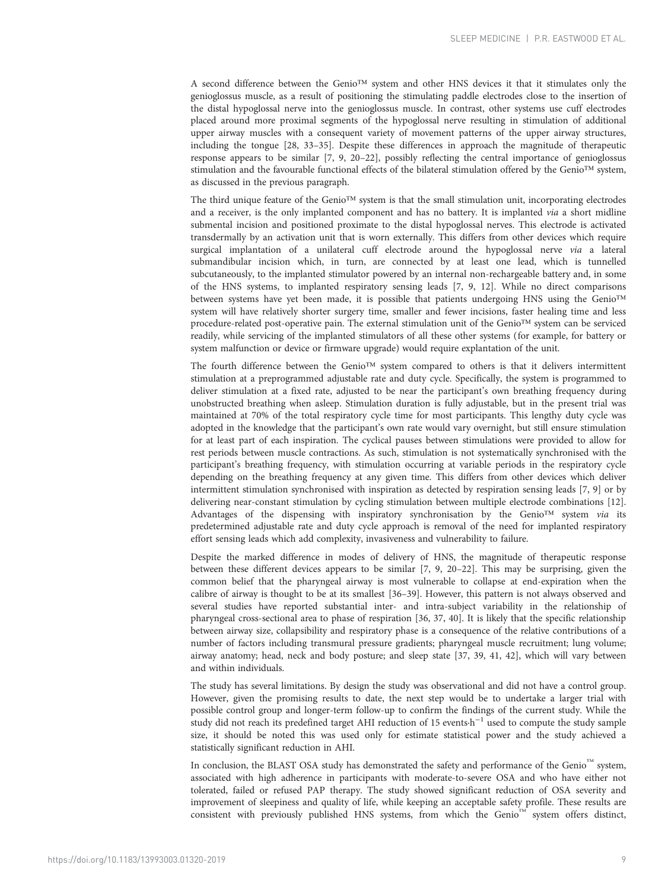A second difference between the Genio™ system and other HNS devices it that it stimulates only the genioglossus muscle, as a result of positioning the stimulating paddle electrodes close to the insertion of the distal hypoglossal nerve into the genioglossus muscle. In contrast, other systems use cuff electrodes placed around more proximal segments of the hypoglossal nerve resulting in stimulation of additional upper airway muscles with a consequent variety of movement patterns of the upper airway structures, including the tongue [\[28, 33](#page-10-0)–[35\]](#page-10-0). Despite these differences in approach the magnitude of therapeutic response appears to be similar [[7](#page-9-0), [9,](#page-9-0) [20](#page-10-0)–[22](#page-10-0)], possibly reflecting the central importance of genioglossus stimulation and the favourable functional effects of the bilateral stimulation offered by the Genio™ system, as discussed in the previous paragraph.

The third unique feature of the Genio™ system is that the small stimulation unit, incorporating electrodes and a receiver, is the only implanted component and has no battery. It is implanted via a short midline submental incision and positioned proximate to the distal hypoglossal nerves. This electrode is activated transdermally by an activation unit that is worn externally. This differs from other devices which require surgical implantation of a unilateral cuff electrode around the hypoglossal nerve via a lateral submandibular incision which, in turn, are connected by at least one lead, which is tunnelled subcutaneously, to the implanted stimulator powered by an internal non-rechargeable battery and, in some of the HNS systems, to implanted respiratory sensing leads [[7](#page-9-0), [9](#page-9-0), [12](#page-9-0)]. While no direct comparisons between systems have yet been made, it is possible that patients undergoing HNS using the Genio™ system will have relatively shorter surgery time, smaller and fewer incisions, faster healing time and less procedure-related post-operative pain. The external stimulation unit of the Genio™ system can be serviced readily, while servicing of the implanted stimulators of all these other systems (for example, for battery or system malfunction or device or firmware upgrade) would require explantation of the unit.

The fourth difference between the Genio™ system compared to others is that it delivers intermittent stimulation at a preprogrammed adjustable rate and duty cycle. Specifically, the system is programmed to deliver stimulation at a fixed rate, adjusted to be near the participant's own breathing frequency during unobstructed breathing when asleep. Stimulation duration is fully adjustable, but in the present trial was maintained at 70% of the total respiratory cycle time for most participants. This lengthy duty cycle was adopted in the knowledge that the participant's own rate would vary overnight, but still ensure stimulation for at least part of each inspiration. The cyclical pauses between stimulations were provided to allow for rest periods between muscle contractions. As such, stimulation is not systematically synchronised with the participant's breathing frequency, with stimulation occurring at variable periods in the respiratory cycle depending on the breathing frequency at any given time. This differs from other devices which deliver intermittent stimulation synchronised with inspiration as detected by respiration sensing leads [[7, 9](#page-9-0)] or by delivering near-constant stimulation by cycling stimulation between multiple electrode combinations [[12](#page-9-0)]. Advantages of the dispensing with inspiratory synchronisation by the Genio™ system via its predetermined adjustable rate and duty cycle approach is removal of the need for implanted respiratory effort sensing leads which add complexity, invasiveness and vulnerability to failure.

Despite the marked difference in modes of delivery of HNS, the magnitude of therapeutic response between these different devices appears to be similar [[7](#page-9-0), [9,](#page-9-0) [20](#page-10-0)–[22\]](#page-10-0). This may be surprising, given the common belief that the pharyngeal airway is most vulnerable to collapse at end-expiration when the calibre of airway is thought to be at its smallest [[36](#page-10-0)–[39](#page-10-0)]. However, this pattern is not always observed and several studies have reported substantial inter- and intra-subject variability in the relationship of pharyngeal cross-sectional area to phase of respiration [\[36, 37](#page-10-0), [40\]](#page-10-0). It is likely that the specific relationship between airway size, collapsibility and respiratory phase is a consequence of the relative contributions of a number of factors including transmural pressure gradients; pharyngeal muscle recruitment; lung volume; airway anatomy; head, neck and body posture; and sleep state [\[37, 39](#page-10-0), [41](#page-10-0), [42\]](#page-10-0), which will vary between and within individuals.

The study has several limitations. By design the study was observational and did not have a control group. However, given the promising results to date, the next step would be to undertake a larger trial with possible control group and longer-term follow-up to confirm the findings of the current study. While the study did not reach its predefined target AHI reduction of 15 events·h−<sup>1</sup> used to compute the study sample size, it should be noted this was used only for estimate statistical power and the study achieved a statistically significant reduction in AHI.

In conclusion, the BLAST OSA study has demonstrated the safety and performance of the Genio™ system, associated with high adherence in participants with moderate-to-severe OSA and who have either not tolerated, failed or refused PAP therapy. The study showed significant reduction of OSA severity and improvement of sleepiness and quality of life, while keeping an acceptable safety profile. These results are consistent with previously published HNS systems, from which the Genio™ system offers distinct,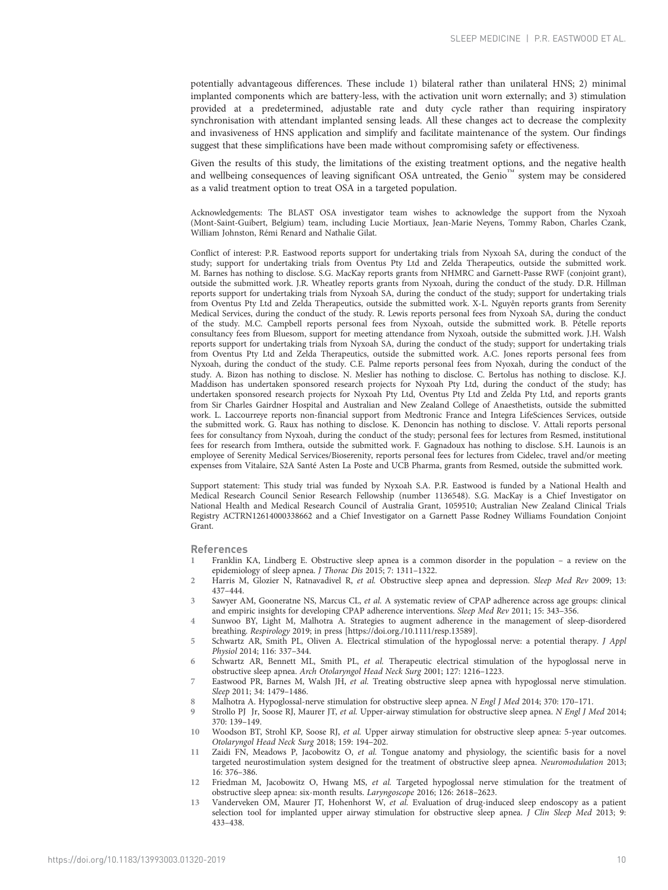<span id="page-9-0"></span>potentially advantageous differences. These include 1) bilateral rather than unilateral HNS; 2) minimal implanted components which are battery-less, with the activation unit worn externally; and 3) stimulation provided at a predetermined, adjustable rate and duty cycle rather than requiring inspiratory synchronisation with attendant implanted sensing leads. All these changes act to decrease the complexity and invasiveness of HNS application and simplify and facilitate maintenance of the system. Our findings suggest that these simplifications have been made without compromising safety or effectiveness.

Given the results of this study, the limitations of the existing treatment options, and the negative health and wellbeing consequences of leaving significant OSA untreated, the Genio™ system may be considered as a valid treatment option to treat OSA in a targeted population.

Acknowledgements: The BLAST OSA investigator team wishes to acknowledge the support from the Nyxoah (Mont-Saint-Guibert, Belgium) team, including Lucie Mortiaux, Jean-Marie Neyens, Tommy Rabon, Charles Czank, William Johnston, Rémi Renard and Nathalie Gilat.

Conflict of interest: P.R. Eastwood reports support for undertaking trials from Nyxoah SA, during the conduct of the study; support for undertaking trials from Oventus Pty Ltd and Zelda Therapeutics, outside the submitted work. M. Barnes has nothing to disclose. S.G. MacKay reports grants from NHMRC and Garnett-Passe RWF (conjoint grant), outside the submitted work. J.R. Wheatley reports grants from Nyxoah, during the conduct of the study. D.R. Hillman reports support for undertaking trials from Nyxoah SA, during the conduct of the study; support for undertaking trials from Oventus Pty Ltd and Zelda Therapeutics, outside the submitted work. X-L. Nguyên reports grants from Serenity Medical Services, during the conduct of the study. R. Lewis reports personal fees from Nyxoah SA, during the conduct of the study. M.C. Campbell reports personal fees from Nyxoah, outside the submitted work. B. Pételle reports consultancy fees from Bluesom, support for meeting attendance from Nyxoah, outside the submitted work. J.H. Walsh reports support for undertaking trials from Nyxoah SA, during the conduct of the study; support for undertaking trials from Oventus Pty Ltd and Zelda Therapeutics, outside the submitted work. A.C. Jones reports personal fees from Nyxoah, during the conduct of the study. C.E. Palme reports personal fees from Nyoxah, during the conduct of the study. A. Bizon has nothing to disclose. N. Meslier has nothing to disclose. C. Bertolus has nothing to disclose. K.J. Maddison has undertaken sponsored research projects for Nyxoah Pty Ltd, during the conduct of the study; has undertaken sponsored research projects for Nyxoah Pty Ltd, Oventus Pty Ltd and Zelda Pty Ltd, and reports grants from Sir Charles Gairdner Hospital and Australian and New Zealand College of Anaesthetists, outside the submitted work. L. Laccourreye reports non-financial support from Medtronic France and Integra LifeSciences Services, outside the submitted work. G. Raux has nothing to disclose. K. Denoncin has nothing to disclose. V. Attali reports personal fees for consultancy from Nyxoah, during the conduct of the study; personal fees for lectures from Resmed, institutional fees for research from Imthera, outside the submitted work. F. Gagnadoux has nothing to disclose. S.H. Launois is an employee of Serenity Medical Services/Bioserenity, reports personal fees for lectures from Cidelec, travel and/or meeting expenses from Vitalaire, S2A Santé Asten La Poste and UCB Pharma, grants from Resmed, outside the submitted work.

Support statement: This study trial was funded by Nyxoah S.A. P.R. Eastwood is funded by a National Health and Medical Research Council Senior Research Fellowship (number 1136548). S.G. MacKay is a Chief Investigator on National Health and Medical Research Council of Australia Grant, 1059510; Australian New Zealand Clinical Trials Registry ACTRN12614000338662 and a Chief Investigator on a Garnett Passe Rodney Williams Foundation Conjoint Grant.

# References

- 1 Franklin KA, Lindberg E. Obstructive sleep apnea is a common disorder in the population a review on the epidemiology of sleep apnea. J Thorac Dis 2015; 7: 1311–1322.
- 2 Harris M, Glozier N, Ratnavadivel R, et al. Obstructive sleep apnea and depression. Sleep Med Rev 2009; 13: 437–444.
- 3 Sawyer AM, Gooneratne NS, Marcus CL, et al. A systematic review of CPAP adherence across age groups: clinical and empiric insights for developing CPAP adherence interventions. Sleep Med Rev 2011; 15: 343–356.
- 4 Sunwoo BY, Light M, Malhotra A. Strategies to augment adherence in the management of sleep-disordered breathing. Respirology 2019; in press [\[https://doi.org./10.1111/resp.13589](https://doi.org./10.1111/resp.13589)].
- 5 Schwartz AR, Smith PL, Oliven A. Electrical stimulation of the hypoglossal nerve: a potential therapy. J Appl Physiol 2014; 116: 337–344.
- 6 Schwartz AR, Bennett ML, Smith PL, et al. Therapeutic electrical stimulation of the hypoglossal nerve in obstructive sleep apnea. Arch Otolaryngol Head Neck Surg 2001; 127: 1216–1223.
- 7 Eastwood PR, Barnes M, Walsh JH, et al. Treating obstructive sleep apnea with hypoglossal nerve stimulation. Sleep 2011; 34: 1479–1486.
- 8 Malhotra A. Hypoglossal-nerve stimulation for obstructive sleep apnea. N Engl J Med 2014; 370: 170-171.
- Strollo PJ Jr, Soose RJ, Maurer JT, et al. Upper-airway stimulation for obstructive sleep apnea. N Engl J Med 2014; 370: 139–149.
- 10 Woodson BT, Strohl KP, Soose RJ, et al. Upper airway stimulation for obstructive sleep apnea: 5-year outcomes. Otolaryngol Head Neck Surg 2018; 159: 194–202.
- 11 Zaidi FN, Meadows P, Jacobowitz O, et al. Tongue anatomy and physiology, the scientific basis for a novel targeted neurostimulation system designed for the treatment of obstructive sleep apnea. Neuromodulation 2013; 16: 376–386.
- 12 Friedman M, Jacobowitz O, Hwang MS, et al. Targeted hypoglossal nerve stimulation for the treatment of obstructive sleep apnea: six-month results. Laryngoscope 2016; 126: 2618–2623.
- 13 Vanderveken OM, Maurer JT, Hohenhorst W, et al. Evaluation of drug-induced sleep endoscopy as a patient selection tool for implanted upper airway stimulation for obstructive sleep apnea. J Clin Sleep Med 2013; 9: 433–438.